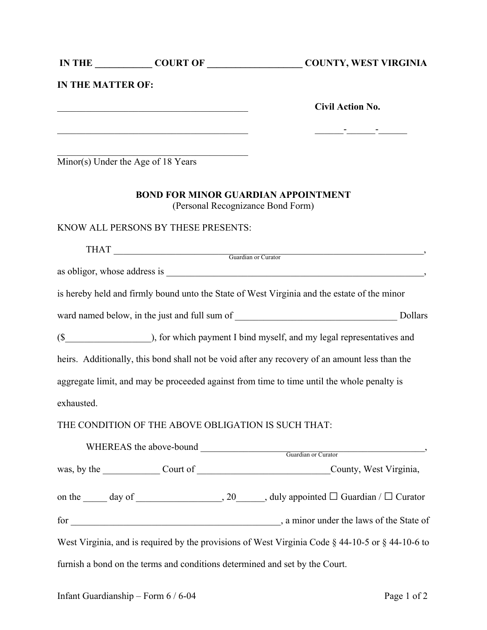|                          |                                                                                                                        | IN THE COURT OF COURT OF COUNTY, WEST VIRGINIA                                                               |
|--------------------------|------------------------------------------------------------------------------------------------------------------------|--------------------------------------------------------------------------------------------------------------|
| <b>IN THE MATTER OF:</b> |                                                                                                                        |                                                                                                              |
|                          |                                                                                                                        | <b>Civil Action No.</b>                                                                                      |
|                          | <u> 1989 - Johann Stoff, deutscher Stoffen und der Stoffen und der Stoffen und der Stoffen und der Stoffen und der</u> |                                                                                                              |
|                          | Minor(s) Under the Age of 18 Years                                                                                     |                                                                                                              |
|                          | <b>BOND FOR MINOR GUARDIAN APPOINTMENT</b><br>(Personal Recognizance Bond Form)                                        |                                                                                                              |
|                          | KNOW ALL PERSONS BY THESE PRESENTS:                                                                                    |                                                                                                              |
|                          |                                                                                                                        | THAT Guardian or Curator                                                                                     |
|                          |                                                                                                                        |                                                                                                              |
|                          |                                                                                                                        | is hereby held and firmly bound unto the State of West Virginia and the estate of the minor                  |
|                          |                                                                                                                        |                                                                                                              |
|                          |                                                                                                                        |                                                                                                              |
|                          |                                                                                                                        | heirs. Additionally, this bond shall not be void after any recovery of an amount less than the               |
|                          |                                                                                                                        | aggregate limit, and may be proceeded against from time to time until the whole penalty is                   |
| exhausted.               |                                                                                                                        |                                                                                                              |
|                          | THE CONDITION OF THE ABOVE OBLIGATION IS SUCH THAT:                                                                    |                                                                                                              |
|                          |                                                                                                                        | WHEREAS the above-bound Guardian or Curator Guardian or Curator                                              |
|                          |                                                                                                                        |                                                                                                              |
|                          |                                                                                                                        | on the $\_\_\_\_$ day of $\_\_\_\_\_\_$ , 20, $\_\_\_\_\_$ , duly appointed $\Box$ Guardian / $\Box$ Curator |
|                          |                                                                                                                        |                                                                                                              |
|                          |                                                                                                                        | West Virginia, and is required by the provisions of West Virginia Code $\S$ 44-10-5 or $\S$ 44-10-6 to       |
|                          | furnish a bond on the terms and conditions determined and set by the Court.                                            |                                                                                                              |